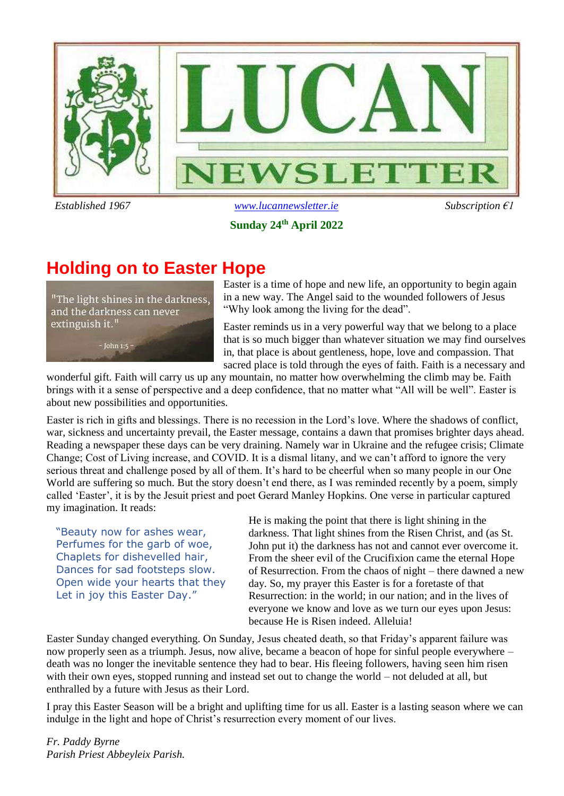

#### **Sunday 24th April 2022**

## **Holding on to Easter Hope**

"The light shines in the darkness, and the darkness can never extinguish it."

 $-$  John 1:5 -

Easter is a time of hope and new life, an opportunity to begin again in a new way. The Angel said to the wounded followers of Jesus "Why look among the living for the dead".

Easter reminds us in a very powerful way that we belong to a place that is so much bigger than whatever situation we may find ourselves in, that place is about gentleness, hope, love and compassion. That sacred place is told through the eyes of faith. Faith is a necessary and

wonderful gift. Faith will carry us up any mountain, no matter how overwhelming the climb may be. Faith brings with it a sense of perspective and a deep confidence, that no matter what "All will be well". Easter is about new possibilities and opportunities.

Easter is rich in gifts and blessings. There is no recession in the Lord's love. Where the shadows of conflict, war, sickness and uncertainty prevail, the Easter message, contains a dawn that promises brighter days ahead. Reading a newspaper these days can be very draining. Namely war in Ukraine and the refugee crisis; Climate Change; Cost of Living increase, and COVID. It is a dismal litany, and we can't afford to ignore the very serious threat and challenge posed by all of them. It's hard to be cheerful when so many people in our One World are suffering so much. But the story doesn't end there, as I was reminded recently by a poem, simply called 'Easter', it is by the Jesuit priest and poet Gerard Manley Hopkins. One verse in particular captured my imagination. It reads:

"Beauty now for ashes wear, Perfumes for the garb of woe, Chaplets for dishevelled hair, Dances for sad footsteps slow. Open wide your hearts that they Let in joy this Easter Day."

He is making the point that there is light shining in the darkness. That light shines from the Risen Christ, and (as St. John put it) the darkness has not and cannot ever overcome it. From the sheer evil of the Crucifixion came the eternal Hope of Resurrection. From the chaos of night – there dawned a new day. So, my prayer this Easter is for a foretaste of that Resurrection: in the world; in our nation; and in the lives of everyone we know and love as we turn our eyes upon Jesus: because He is Risen indeed. Alleluia!

Easter Sunday changed everything. On Sunday, Jesus cheated death, so that Friday's apparent failure was now properly seen as a triumph. Jesus, now alive, became a beacon of hope for sinful people everywhere – death was no longer the inevitable sentence they had to bear. His fleeing followers, having seen him risen with their own eyes, stopped running and instead set out to change the world – not deluded at all, but enthralled by a future with Jesus as their Lord.

I pray this Easter Season will be a bright and uplifting time for us all. Easter is a lasting season where we can indulge in the light and hope of Christ's resurrection every moment of our lives.

*Fr. Paddy Byrne Parish Priest Abbeyleix Parish.*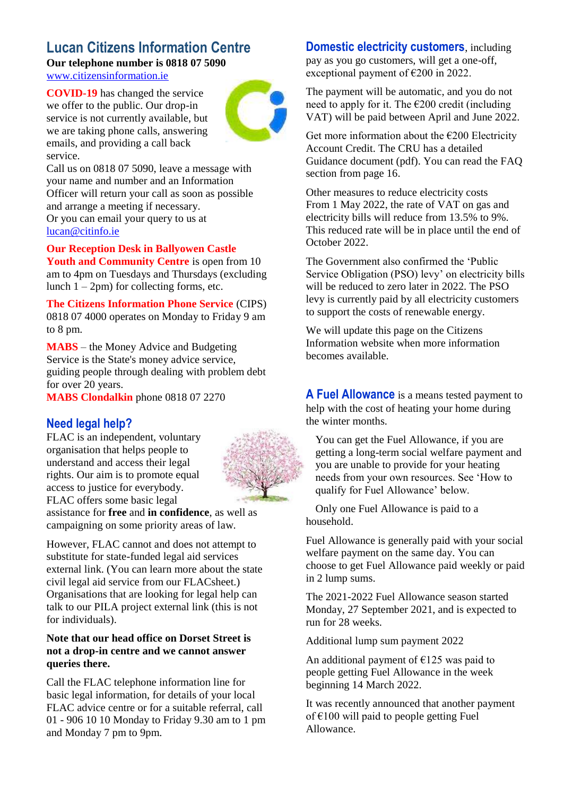### **Lucan Citizens Information Centre**

**Our telephone number is 0818 07 5090**

[www.citizensinformation.ie](http://www.citizensinformation.ie/)

**COVID-19** has changed the service we offer to the public. Our drop-in service is not currently available, but we are taking phone calls, answering emails, and providing a call back service.



Call us on 0818 07 5090, leave a message with your name and number and an Information Officer will return your call as soon as possible and arrange a meeting if necessary. Or you can email your query to us at [lucan@citinfo.ie](mailto:lucan@citinfo.ie)

### **Our Reception Desk in Ballyowen Castle**

**Youth and Community Centre** is open from 10 am to 4pm on Tuesdays and Thursdays (excluding lunch  $1 - 2$ pm) for collecting forms, etc.

**The Citizens Information Phone Service** (CIPS) 0818 07 4000 operates on Monday to Friday 9 am to 8 pm.

**MABS** – the Money Advice and Budgeting Service is the State's money advice service, guiding people through dealing with problem debt for over 20 years.

**MABS Clondalkin** phone 0818 07 2270

### **Need legal help?**

FLAC is an independent, voluntary organisation that helps people to understand and access their legal rights. Our aim is to promote equal access to justice for everybody. FLAC offers some basic legal



assistance for **free** and **in confidence**, as well as campaigning on some priority areas of law.

However, FLAC cannot and does not attempt to substitute for state-funded legal aid services external link. (You can learn more about the state civil legal aid service from our FLACsheet.) Organisations that are looking for legal help can talk to our PILA project external link (this is not for individuals).

#### **Note that our head office on Dorset Street is not a drop-in centre and we cannot answer queries there.**

Call the FLAC telephone information line for basic legal information, for details of your local FLAC advice centre or for a suitable referral, call 01 - 906 10 10 Monday to Friday 9.30 am to 1 pm and Monday 7 pm to 9pm.

### **Domestic electricity customers**, including

pay as you go customers, will get a one-off, exceptional payment of €200 in 2022.

The payment will be automatic, and you do not need to apply for it. The  $\epsilon$ 200 credit (including VAT) will be paid between April and June 2022.

Get more information about the  $\epsilon$ 200 Electricity Account Credit. The CRU has a detailed Guidance document (pdf). You can read the FAQ section from page 16.

Other measures to reduce electricity costs From 1 May 2022, the rate of VAT on gas and electricity bills will reduce from 13.5% to 9%. This reduced rate will be in place until the end of October 2022.

The Government also confirmed the 'Public Service Obligation (PSO) levy' on electricity bills will be reduced to zero later in 2022. The PSO levy is currently paid by all electricity customers to support the costs of renewable energy.

We will update this page on the Citizens Information website when more information becomes available.

**A Fuel Allowance** is a means tested payment to help with the cost of heating your home during the winter months.

You can get the Fuel Allowance, if you are getting a long-term social welfare payment and you are unable to provide for your heating needs from your own resources. See 'How to qualify for Fuel Allowance' below.

Only one Fuel Allowance is paid to a household.

Fuel Allowance is generally paid with your social welfare payment on the same day. You can choose to get Fuel Allowance paid weekly or paid in 2 lump sums.

The 2021-2022 Fuel Allowance season started Monday, 27 September 2021, and is expected to run for 28 weeks.

Additional lump sum payment 2022

An additional payment of  $E125$  was paid to people getting Fuel Allowance in the week beginning 14 March 2022.

It was recently announced that another payment of  $\epsilon$ 100 will paid to people getting Fuel Allowance.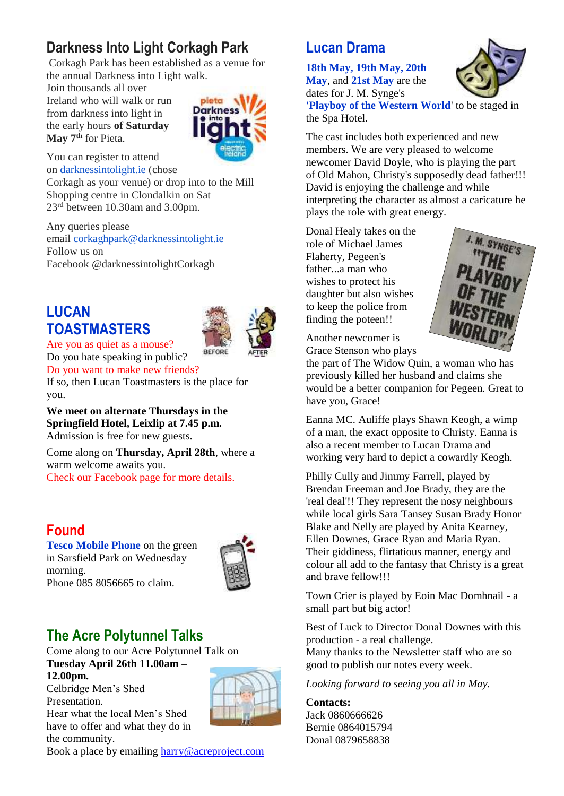### **Darkness Into Light Corkagh Park**

Corkagh Park has been established as a venue for the annual Darkness into Light walk.

Join thousands all over Ireland who will walk or run from darkness into light in the early hours **of Saturday May 7th** for Pieta.



You can register to attend on [darknessintolight.ie](http://darknessintolight.ie/) (chose

Corkagh as your venue) or drop into to the Mill Shopping centre in Clondalkin on Sat 23rd between 10.30am and 3.00pm.

Any queries please email [corkaghpark@darknessintolight.ie](mailto:corkaghpark@darknessintolight.ie) Follow us on Facebook @darknessintolightCorkagh

### **LUCAN TOASTMASTERS**



Are you as quiet as a mouse? Do you hate speaking in public?

Do you want to make new friends? If so, then Lucan Toastmasters is the place for you.

**We meet on alternate Thursdays in the Springfield Hotel, Leixlip at 7.45 p.m.** Admission is free for new guests.

Come along on **Thursday, April 28th**, where a warm welcome awaits you. Check our Facebook page for more details.

## **Found**

**Tesco Mobile Phone** on the green in Sarsfield Park on Wednesday morning. Phone 085 8056665 to claim.



### **The Acre Polytunnel Talks**

Come along to our Acre Polytunnel Talk on **Tuesday April 26th 11.00am – 12.00pm.** Celbridge Men's Shed Presentation.

Hear what the local Men's Shed have to offer and what they do in the community.

Book a place by emailing [harry@acreproject.com](mailto:harry@acreproject.com)

### **Lucan Drama**

**18th May, 19th May, 20th May**, and **21st May** are the dates for J. M. Synge's



**'Playboy of the Western World**' to be staged in the Spa Hotel.

The cast includes both experienced and new members. We are very pleased to welcome newcomer David Doyle, who is playing the part of Old Mahon, Christy's supposedly dead father!!! David is enjoying the challenge and while interpreting the character as almost a caricature he plays the role with great energy.

Donal Healy takes on the role of Michael James Flaherty, Pegeen's father...a man who wishes to protect his daughter but also wishes to keep the police from finding the poteen!!



Another newcomer is Grace Stenson who plays

the part of The Widow Quin, a woman who has previously killed her husband and claims she would be a better companion for Pegeen. Great to have you, Grace!

Eanna MC. Auliffe plays Shawn Keogh, a wimp of a man, the exact opposite to Christy. Eanna is also a recent member to Lucan Drama and working very hard to depict a cowardly Keogh.

Philly Cully and Jimmy Farrell, played by Brendan Freeman and Joe Brady, they are the 'real deal'!! They represent the nosy neighbours while local girls Sara Tansey Susan Brady Honor Blake and Nelly are played by Anita Kearney, Ellen Downes, Grace Ryan and Maria Ryan. Their giddiness, flirtatious manner, energy and colour all add to the fantasy that Christy is a great and brave fellow!!!

Town Crier is played by Eoin Mac Domhnail - a small part but big actor!

Best of Luck to Director Donal Downes with this production - a real challenge.

Many thanks to the Newsletter staff who are so good to publish our notes every week.

*Looking forward to seeing you all in May.*

### **Contacts:**

Jack 0860666626 Bernie 0864015794 Donal 0879658838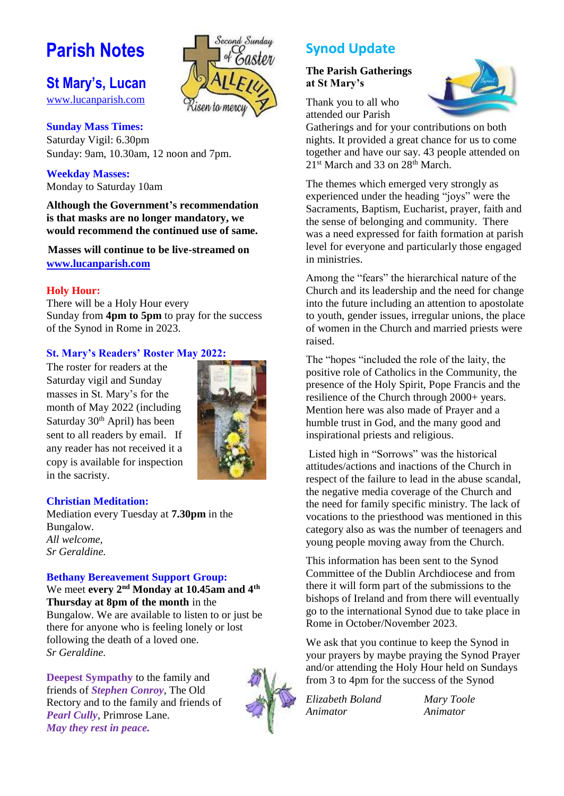## **Parish Notes**

### **St Mary's, Lucan**

[www.lucanparish.com](http://www.lucanparish.com/)

#### **Sunday Mass Times:**

Saturday Vigil: 6.30pm Sunday: 9am, 10.30am, 12 noon and 7pm.

**Weekday Masses:** Monday to Saturday 10am

**Although the Government's recommendation is that masks are no longer mandatory, we would recommend the continued use of same.**

**Masses will continue to be live-streamed on [www.lucanparish.com](http://www.lucanparish.com/)**

#### **Holy Hour:**

There will be a Holy Hour every Sunday from **4pm to 5pm** to pray for the success of the Synod in Rome in 2023.

#### **St. Mary's Readers' Roster May 2022:**

The roster for readers at the Saturday vigil and Sunday masses in St. Mary's for the month of May 2022 (including Saturday  $30<sup>th</sup>$  April) has been sent to all readers by email. If any reader has not received it a copy is available for inspection in the sacristy.



Second Sundau

#### **Christian Meditation:**

Mediation every Tuesday at **7.30pm** in the Bungalow. *All welcome, Sr Geraldine.*

#### **Bethany Bereavement Support Group:**

We meet **every 2nd Monday at 10.45am and 4th Thursday at 8pm of the month** in the Bungalow. We are available to listen to or just be there for anyone who is feeling lonely or lost following the death of a loved one. *Sr Geraldine.* 

**Deepest Sympathy** to the family and friends of *Stephen Conroy*, The Old Rectory and to the family and friends of *Pearl Cully*, Primrose Lane. *May they rest in peace.* 



### **Synod Update**

#### **The Parish Gatherings at St Mary's**

Thank you to all who attended our Parish



Gatherings and for your contributions on both nights. It provided a great chance for us to come together and have our say. 43 people attended on 21<sup>st</sup> March and 33 on 28<sup>th</sup> March.

The themes which emerged very strongly as experienced under the heading "joys" were the Sacraments, Baptism, Eucharist, prayer, faith and the sense of belonging and community. There was a need expressed for faith formation at parish level for everyone and particularly those engaged in ministries.

Among the "fears" the hierarchical nature of the Church and its leadership and the need for change into the future including an attention to apostolate to youth, gender issues, irregular unions, the place of women in the Church and married priests were raised.

The "hopes "included the role of the laity, the positive role of Catholics in the Community, the presence of the Holy Spirit, Pope Francis and the resilience of the Church through 2000+ years. Mention here was also made of Prayer and a humble trust in God, and the many good and inspirational priests and religious.

Listed high in "Sorrows" was the historical attitudes/actions and inactions of the Church in respect of the failure to lead in the abuse scandal, the negative media coverage of the Church and the need for family specific ministry. The lack of vocations to the priesthood was mentioned in this category also as was the number of teenagers and young people moving away from the Church.

This information has been sent to the Synod Committee of the Dublin Archdiocese and from there it will form part of the submissions to the bishops of Ireland and from there will eventually go to the international Synod due to take place in Rome in October/November 2023.

We ask that you continue to keep the Synod in your prayers by maybe praying the Synod Prayer and/or attending the Holy Hour held on Sundays from 3 to 4pm for the success of the Synod

*Elizabeth Boland Mary Toole Animator Animator*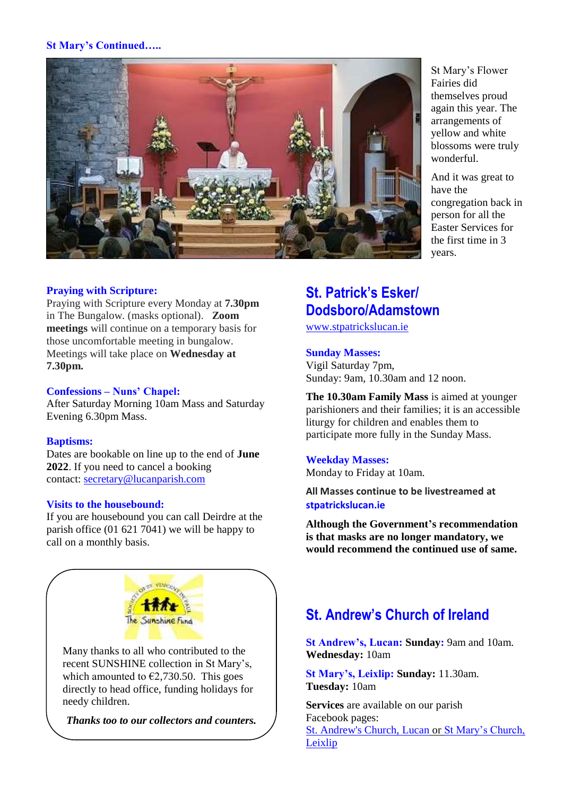#### **St Mary's Continued…..**



#### **Praying with Scripture:**

Praying with Scripture every Monday at **7.30pm** in The Bungalow. (masks optional). **Zoom meetings** will continue on a temporary basis for those uncomfortable meeting in bungalow. Meetings will take place on **Wednesday at 7.30pm.**

#### **Confessions – Nuns' Chapel:**

After Saturday Morning 10am Mass and Saturday Evening 6.30pm Mass.

#### **Baptisms:**

Dates are bookable on line up to the end of **June 2022**. If you need to cancel a booking contact: [secretary@lucanparish.com](mailto:secretary@lucanparish.com?subject=Cancellation%20of%20Baptism%20Booking&body=Dear%20Secretary%2C%0AI%20wish%20to%20cancel%20the%20booking%20made%20for%20baby%3A%0Aon%20date%3A%0AThank%20You)

#### **Visits to the housebound:**

If you are housebound you can call Deirdre at the parish office (01 621 7041) we will be happy to call on a monthly basis.



Many thanks to all who contributed to the recent SUNSHINE collection in St Mary's, which amounted to  $\epsilon$ 2,730.50. This goes directly to head office, funding holidays for needy children.

*Thanks too to our collectors and counters.*

St Mary's Flower Fairies did themselves proud again this year. The arrangements of yellow and white blossoms were truly wonderful.

And it was great to have the congregation back in person for all the Easter Services for the first time in 3 years.

### **St. Patrick's Esker/ Dodsboro/Adamstown**

[www.stpatrickslucan.ie](http://www.stpatrickslucan.ie/)

#### **Sunday Masses:**

Vigil Saturday 7pm, Sunday: 9am, 10.30am and 12 noon.

**The 10.30am Family Mass** is aimed at younger parishioners and their families; it is an accessible liturgy for children and enables them to participate more fully in the Sunday Mass.

#### **Weekday Masses:**

Monday to Friday at 10am.

**All Masses continue to be livestreamed at stpatrickslucan.ie**

**Although the Government's recommendation is that masks are no longer mandatory, we would recommend the continued use of same.**

### **St. Andrew's Church of Ireland**

**St Andrew's, Lucan: Sunday:** 9am and 10am. **Wednesday:** 10am

**St Mary's, Leixlip: Sunday:** 11.30am. **Tuesday:** 10am

**Services** are available on our parish Facebook pages: [St. Andrew's Church, Lucan](https://www.facebook.com/standrewslucan/) or [St Mary's Church,](https://www.facebook.com/stmarysleixlip/)  [Leixlip](https://www.facebook.com/stmarysleixlip/)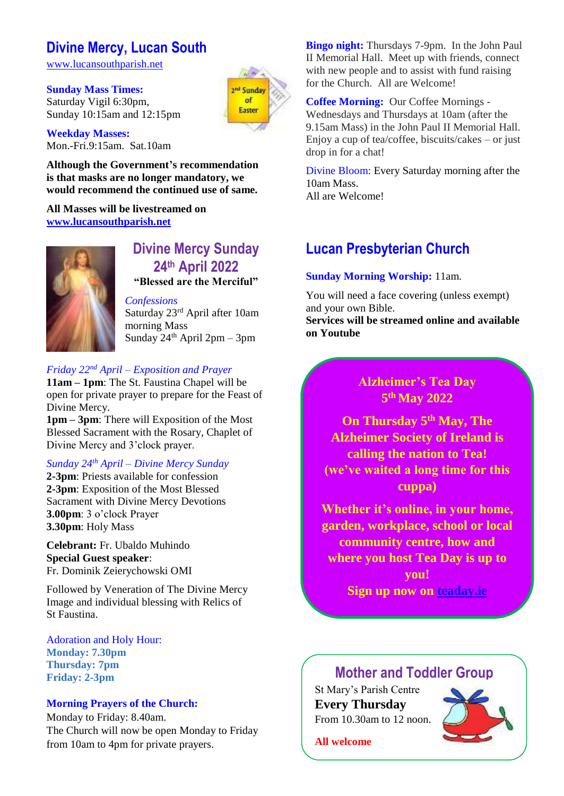### **Divine Mercy, Lucan South**

[www.lucansouthparish.net](http://www.lucansouthparish.net/)

**Sunday Mass Times:**  Saturday Vigil 6:30pm, Sunday 10:15am and 12:15pm and Sunday of Eactor

**Weekday Masses:** Mon.-Fri.9:15am. Sat.10am

**Although the Government's recommendation is that masks are no longer mandatory, we would recommend the continued use of same.**

**All Masses will be livestreamed on [www.lucansouthparish.net](http://www.lucansouthparish.net/)**



### **Divine Mercy Sunday 24th April 2022 "Blessed are the Merciful"**

*Confessions* Saturday 23rd April after 10am morning Mass Sunday  $24<sup>th</sup>$  April 2pm – 3pm

### *Friday 22nd April – Exposition and Prayer*

**11am – 1pm**: The St. Faustina Chapel will be open for private prayer to prepare for the Feast of Divine Mercy.

**1pm – 3pm**: There will Exposition of the Most Blessed Sacrament with the Rosary, Chaplet of Divine Mercy and 3'clock prayer.

### *Sunday 24th April – Divine Mercy Sunday*

**2-3pm**: Priests available for confession **2-3pm**: Exposition of the Most Blessed Sacrament with Divine Mercy Devotions **3.00pm**: 3 o'clock Prayer **3.30pm**: Holy Mass

**Celebrant:** Fr. Ubaldo Muhindo **Special Guest speaker**: Fr. Dominik Zeierychowski OMI

Followed by Veneration of The Divine Mercy Image and individual blessing with Relics of St Faustina.

Adoration and Holy Hour: **Monday: 7.30pm Thursday: 7pm Friday: 2-3pm**

#### **Morning Prayers of the Church:**

Monday to Friday: 8.40am. The Church will now be open Monday to Friday from 10am to 4pm for private prayers.

**Bingo night:** Thursdays 7-9pm. In the John Paul II Memorial Hall. Meet up with friends, connect with new people and to assist with fund raising for the Church. All are Welcome!

**Coffee Morning:** Our Coffee Mornings - Wednesdays and Thursdays at 10am (after the 9.15am Mass) in the John Paul II Memorial Hall. Enjoy a cup of tea/coffee, biscuits/cakes – or just drop in for a chat!

Divine Bloom: Every Saturday morning after the 10am Mass. All are Welcome!

### **Lucan Presbyterian Church**

#### **Sunday Morning Worship:** 11am.

You will need a face covering (unless exempt) and your own Bible.

**Services will be streamed online and available on Youtube**

### **Alzheimer's Tea Day 5 th May 2022**

**On Thursday 5th May, The Alzheimer Society of Ireland is calling the nation to Tea! (we've waited a long time for this cuppa)**

**Whether it's online, in your home, garden, workplace, school or local community centre, how and where you host Tea Day is up to you! Sign up now on teaday.ie**

### **Mother and Toddler Group**

St Mary's Parish Centre **Every Thursday**  From 10.30am to 12 noon.



**All welcome**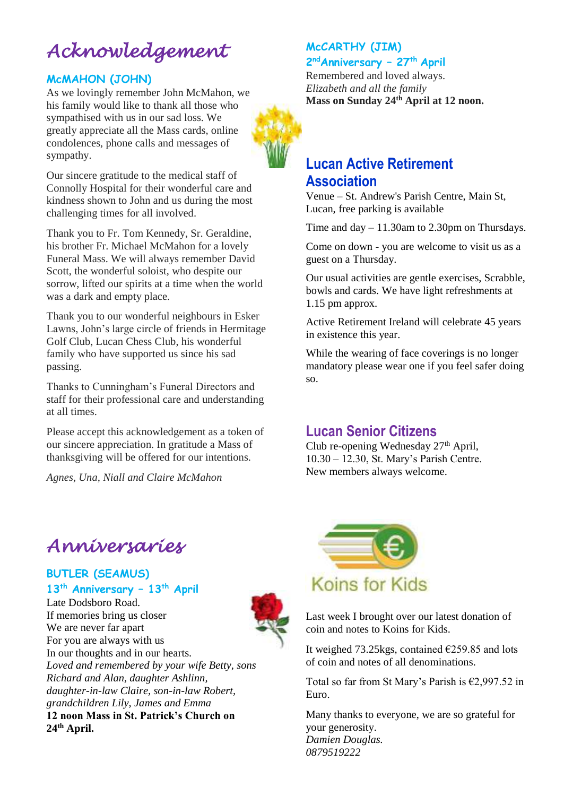# *Acknowledgement*

### **McMAHON (JOHN)**

As we lovingly remember John McMahon, we his family would like to thank all those who sympathised with us in our sad loss. We greatly appreciate all the Mass cards, online condolences, phone calls and messages of sympathy.

Our sincere gratitude to the medical staff of Connolly Hospital for their wonderful care and kindness shown to John and us during the most challenging times for all involved.

Thank you to Fr. Tom Kennedy, Sr. Geraldine, his brother Fr. Michael McMahon for a lovely Funeral Mass. We will always remember David Scott, the wonderful soloist, who despite our sorrow, lifted our spirits at a time when the world was a dark and empty place.

Thank you to our wonderful neighbours in Esker Lawns, John's large circle of friends in Hermitage Golf Club, Lucan Chess Club, his wonderful family who have supported us since his sad passing.

Thanks to Cunningham's Funeral Directors and staff for their professional care and understanding at all times.

Please accept this acknowledgement as a token of our sincere appreciation. In gratitude a Mass of thanksgiving will be offered for our intentions.

*Agnes, Una, Niall and Claire McMahon*

### **McCARTHY (JIM)**

**2 ndAnniversary – 27th April**

Remembered and loved always. *Elizabeth and all the family* **Mass on Sunday 24th April at 12 noon.**



### **Association**

Venue – St. Andrew's Parish Centre, Main St, Lucan, free parking is available

Time and day – 11.30am to 2.30pm on Thursdays.

Come on down - you are welcome to visit us as a guest on a Thursday.

Our usual activities are gentle exercises, Scrabble, bowls and cards. We have light refreshments at 1.15 pm approx.

Active Retirement Ireland will celebrate 45 years in existence this year.

While the wearing of face coverings is no longer mandatory please wear one if you feel safer doing so.

### **Lucan Senior Citizens**

Club re-opening Wednesday 27<sup>th</sup> April, 10.30 – 12.30, St. Mary's Parish Centre. New members always welcome.

## *Anniversaries*

**BUTLER (SEAMUS) 13th Anniversary – 13th April**

Late Dodsboro Road. If memories bring us closer We are never far apart For you are always with us In our thoughts and in our hearts. *Loved and remembered by your wife Betty, sons Richard and Alan, daughter Ashlinn, daughter-in-law Claire, son-in-law Robert, grandchildren Lily, James and Emma* **12 noon Mass in St. Patrick's Church on 24th April.**





Last week I brought over our latest donation of coin and notes to Koins for Kids.

It weighed 73.25 kgs, contained  $\epsilon$ 259.85 and lots of coin and notes of all denominations.

Total so far from St Mary's Parish is  $\epsilon$ 2,997.52 in Euro.

Many thanks to everyone, we are so grateful for your generosity. *Damien Douglas. 0879519222*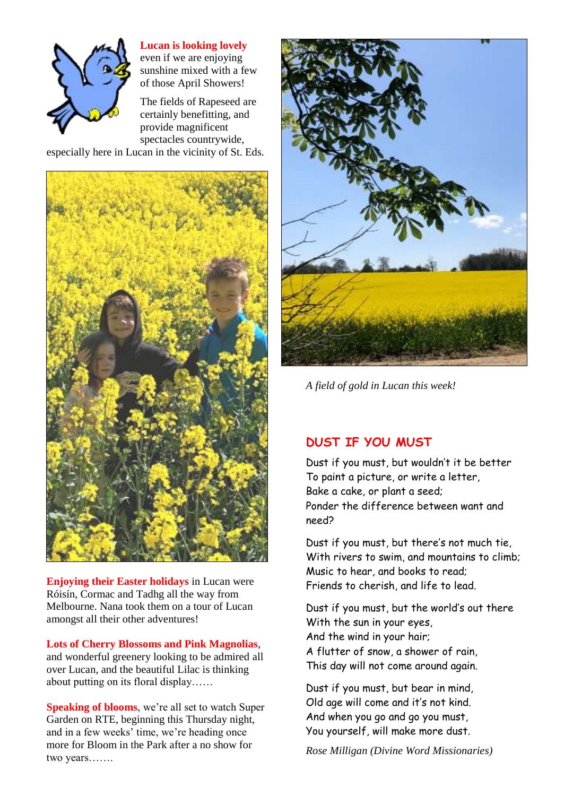

#### **Lucan is looking lovely**

even if we are enjoying sunshine mixed with a few of those April Showers!

The fields of Rapeseed are certainly benefitting, and provide magnificent spectacles countrywide, especially here in Lucan in the vicinity of St. Eds.



**Enjoying their Easter holidays** in Lucan were Róisín, Cormac and Tadhg all the way from Melbourne. Nana took them on a tour of Lucan amongst all their other adventures!

#### **Lots of Cherry Blossoms and Pink Magnolias**,

and wonderful greenery looking to be admired all over Lucan, and the beautiful Lilac is thinking about putting on its floral display……

**Speaking of blooms**, we're all set to watch Super Garden on RTE, beginning this Thursday night, and in a few weeks' time, we're heading once more for Bloom in the Park after a no show for two years…….



*A field of gold in Lucan this week!*

### **DUST IF YOU MUST**

Dust if you must, but wouldn't it be better To paint a picture, or write a letter, Bake a cake, or plant a seed; Ponder the difference between want and need?

Dust if you must, but there's not much tie, With rivers to swim, and mountains to climb; Music to hear, and books to read; Friends to cherish, and life to lead.

Dust if you must, but the world's out there With the sun in your eyes, And the wind in your hair; A flutter of snow, a shower of rain, This day will not come around again.

Dust if you must, but bear in mind, Old age will come and it's not kind. And when you go and go you must, You yourself, will make more dust.

*Rose Milligan (Divine Word Missionaries)*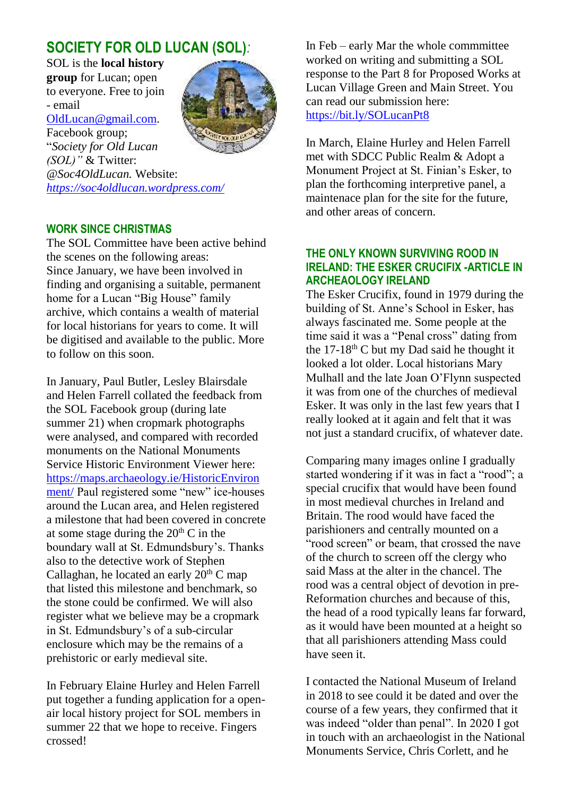### **SOCIETY FOR OLD LUCAN (SOL)***:*

SOL is the **local history group** for Lucan; open to everyone. Free to join - email [OldLucan@gmail.com.](mailto:OldLucan@gmail.com) Facebook group; "*Society for Old Lucan (SOL)"* & Twitter:



*@Soc4OldLucan.* Website: *<https://soc4oldlucan.wordpress.com/>*

### **WORK SINCE CHRISTMAS**

The SOL Committee have been active behind the scenes on the following areas: Since January, we have been involved in finding and organising a suitable, permanent home for a Lucan "Big House" family archive, which contains a wealth of material for local historians for years to come. It will be digitised and available to the public. More to follow on this soon.

In January, Paul Butler, Lesley Blairsdale and Helen Farrell collated the feedback from the SOL Facebook group (during late summer 21) when cropmark photographs were analysed, and compared with recorded monuments on the National Monuments Service Historic Environment Viewer here: [https://maps.archaeology.ie/HistoricEnviron](https://maps.archaeology.ie/HistoricEnvironment/) [ment/](https://maps.archaeology.ie/HistoricEnvironment/) Paul registered some "new" ice-houses around the Lucan area, and Helen registered a milestone that had been covered in concrete at some stage during the  $20<sup>th</sup>$  C in the boundary wall at St. Edmundsbury's. Thanks also to the detective work of Stephen Callaghan, he located an early  $20<sup>th</sup>$  C map that listed this milestone and benchmark, so the stone could be confirmed. We will also register what we believe may be a cropmark in St. Edmundsbury's of a sub-circular enclosure which may be the remains of a prehistoric or early medieval site.

In February Elaine Hurley and Helen Farrell put together a funding application for a openair local history project for SOL members in summer 22 that we hope to receive. Fingers crossed!

In Feb – early Mar the whole commmittee worked on writing and submitting a SOL response to the Part 8 for Proposed Works at Lucan Village Green and Main Street. You can read our submission here: <https://bit.ly/SOLucanPt8>

In March, Elaine Hurley and Helen Farrell met with SDCC Public Realm & Adopt a Monument Project at St. Finian's Esker, to plan the forthcoming interpretive panel, a maintenace plan for the site for the future, and other areas of concern.

#### **THE ONLY KNOWN SURVIVING ROOD IN IRELAND: THE ESKER CRUCIFIX -ARTICLE IN ARCHEAOLOGY IRELAND**

The Esker Crucifix, found in 1979 during the building of St. Anne's School in Esker, has always fascinated me. Some people at the time said it was a "Penal cross" dating from the 17-18<sup>th</sup> C but my Dad said he thought it looked a lot older. Local historians Mary Mulhall and the late Joan O'Flynn suspected it was from one of the churches of medieval Esker. It was only in the last few years that I really looked at it again and felt that it was not just a standard crucifix, of whatever date.

Comparing many images online I gradually started wondering if it was in fact a "rood"; a special crucifix that would have been found in most medieval churches in Ireland and Britain. The rood would have faced the parishioners and centrally mounted on a "rood screen" or beam, that crossed the nave of the church to screen off the clergy who said Mass at the alter in the chancel. The rood was a central object of devotion in pre-Reformation churches and because of this, the head of a rood typically leans far forward, as it would have been mounted at a height so that all parishioners attending Mass could have seen it.

I contacted the National Museum of Ireland in 2018 to see could it be dated and over the course of a few years, they confirmed that it was indeed "older than penal". In 2020 I got in touch with an archaeologist in the National Monuments Service, Chris Corlett, and he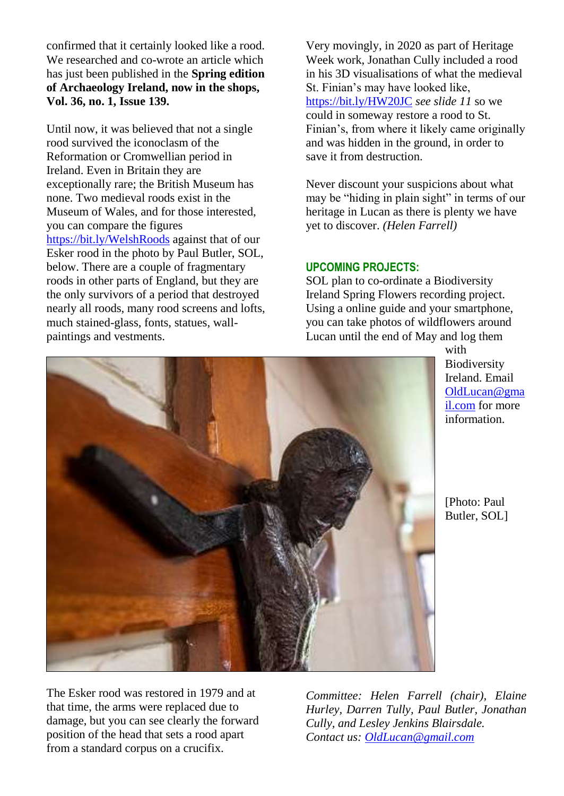confirmed that it certainly looked like a rood. We researched and co-wrote an article which has just been published in the **Spring edition of Archaeology Ireland, now in the shops, Vol. 36, no. 1, Issue 139.** 

Until now, it was believed that not a single rood survived the iconoclasm of the Reformation or Cromwellian period in Ireland. Even in Britain they are exceptionally rare; the British Museum has none. Two medieval roods exist in the Museum of Wales, and for those interested, you can compare the figures <https://bit.ly/WelshRoods> against that of our Esker rood in the photo by Paul Butler, SOL, below. There are a couple of fragmentary roods in other parts of England, but they are the only survivors of a period that destroyed nearly all roods, many rood screens and lofts, much stained-glass, fonts, statues, wallpaintings and vestments.

Very movingly, in 2020 as part of Heritage Week work, Jonathan Cully included a rood in his 3D visualisations of what the medieval St. Finian's may have looked like, <https://bit.ly/HW20JC> *see slide 11* so we could in someway restore a rood to St. Finian's, from where it likely came originally and was hidden in the ground, in order to save it from destruction.

Never discount your suspicions about what may be "hiding in plain sight" in terms of our heritage in Lucan as there is plenty we have yet to discover. *(Helen Farrell)*

#### **UPCOMING PROJECTS:**

SOL plan to co-ordinate a Biodiversity Ireland Spring Flowers recording project. Using a online guide and your smartphone, you can take photos of wildflowers around Lucan until the end of May and log them



with Biodiversity Ireland. Email [OldLucan@gma](mailto:OldLucan@gmail.com) [il.com](mailto:OldLucan@gmail.com) for more information.

[Photo: Paul Butler, SOL]

The Esker rood was restored in 1979 and at that time, the arms were replaced due to damage, but you can see clearly the forward position of the head that sets a rood apart from a standard corpus on a crucifix.

*Committee: Helen Farrell (chair), Elaine Hurley, Darren Tully, Paul Butler, Jonathan Cully, and Lesley Jenkins Blairsdale. Contact us[: OldLucan@gmail.com](mailto:OldLucan@gmail.com)*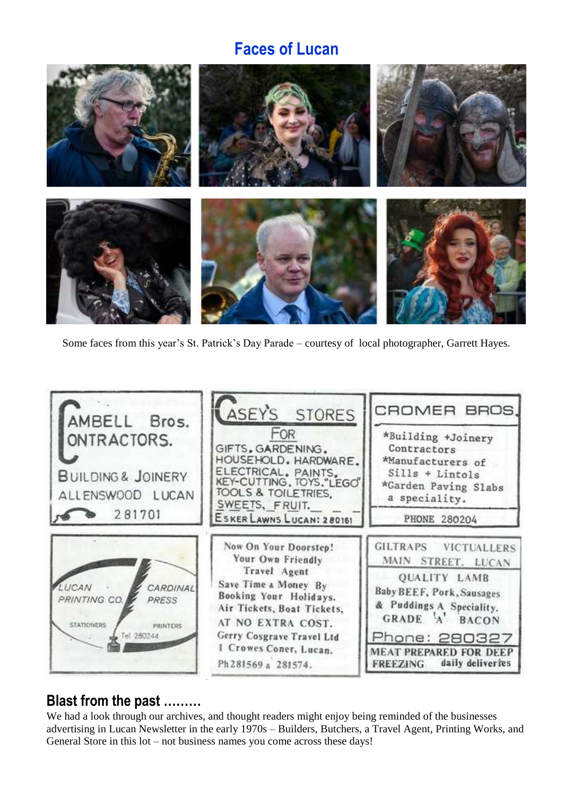## **Faces of Lucan**



Some faces from this year's St. Patrick's Day Parade – courtesy of local photographer, Garrett Hayes.



### **Blast from the past ………**

We had a look through our archives, and thought readers might enjoy being reminded of the businesses advertising in Lucan Newsletter in the early 1970s – Builders, Butchers, a Travel Agent, Printing Works, and General Store in this lot – not business names you come across these days!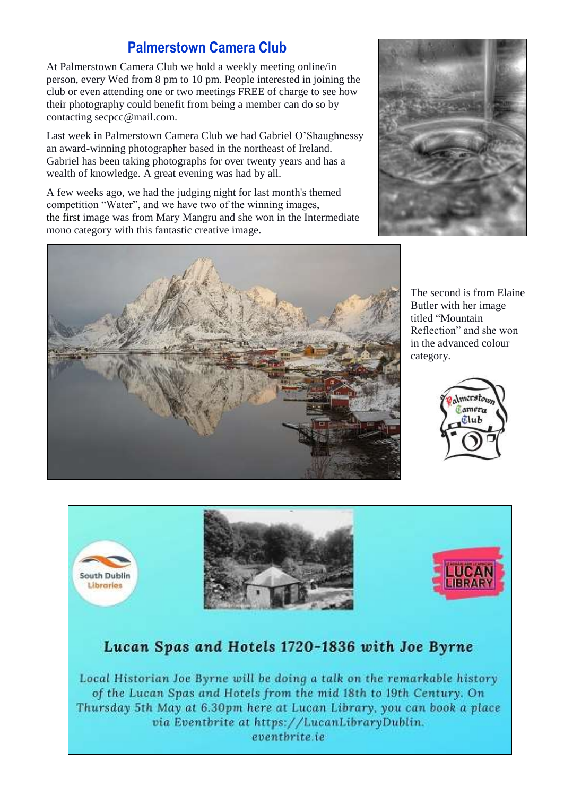### **Palmerstown Camera Club**

At Palmerstown Camera Club we hold a weekly meeting online/in person, every Wed from 8 pm to 10 pm. People interested in joining the club or even attending one or two meetings FREE of charge to see how their photography could benefit from being a member can do so by contacting secpcc@mail.com.

Last week in Palmerstown Camera Club we had Gabriel O'Shaughnessy an award-winning photographer based in the northeast of Ireland. Gabriel has been taking photographs for over twenty years and has a wealth of knowledge. A great evening was had by all.

A few weeks ago, we had the judging night for last month's themed competition "Water", and we have two of the winning images, the first image was from Mary Mangru and she won in the Intermediate mono category with this fantastic creative image.





The second is from Elaine Butler with her image titled "Mountain Reflection" and she won in the advanced colour category.





### Lucan Spas and Hotels 1720-1836 with Joe Byrne

Local Historian Joe Byrne will be doing a talk on the remarkable history of the Lucan Spas and Hotels from the mid 18th to 19th Century. On Thursday 5th May at 6.30pm here at Lucan Library, you can book a place via Eventbrite at https://LucanLibraryDublin. eventbrite.ie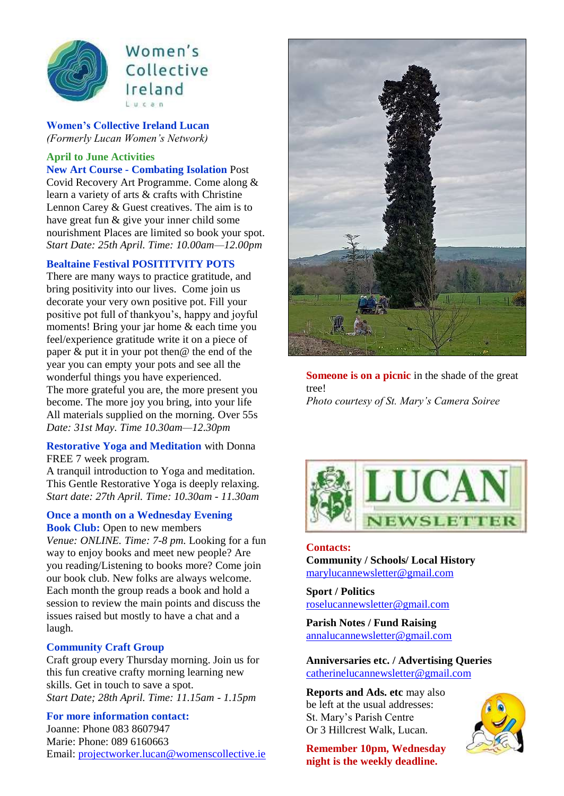

### Women's Collective Ireland  $l$ ucan

**Women's Collective Ireland Lucan**  *(Formerly Lucan Women's Network)*

#### **April to June Activities**

**New Art Course - Combating Isolation** Post Covid Recovery Art Programme. Come along & learn a variety of arts & crafts with Christine Lennon Carey & Guest creatives. The aim is to have great fun & give your inner child some nourishment Places are limited so book your spot. *Start Date: 25th April. Time: 10.00am—12.00pm* 

#### **Bealtaine Festival POSITITVITY POTS**

There are many ways to practice gratitude, and bring positivity into our lives. Come join us decorate your very own positive pot. Fill your positive pot full of thankyou's, happy and joyful moments! Bring your jar home & each time you feel/experience gratitude write it on a piece of paper  $\&$  put it in your pot then  $\&$  the end of the year you can empty your pots and see all the wonderful things you have experienced. The more grateful you are, the more present you become. The more joy you bring, into your life All materials supplied on the morning. Over 55s *Date: 31st May. Time 10.30am—12.30pm* 

#### **Restorative Yoga and Meditation** with Donna FREE 7 week program.

A tranquil introduction to Yoga and meditation. This Gentle Restorative Yoga is deeply relaxing. *Start date: 27th April. Time: 10.30am - 11.30am*

#### **Once a month on a Wednesday Evening Book Club:** Open to new members

*Venue: ONLINE. Time: 7-8 pm.* Looking for a fun way to enjoy books and meet new people? Are you reading/Listening to books more? Come join our book club. New folks are always welcome. Each month the group reads a book and hold a session to review the main points and discuss the issues raised but mostly to have a chat and a laugh.

### **Community Craft Group**

Craft group every Thursday morning. Join us for this fun creative crafty morning learning new skills. Get in touch to save a spot. *Start Date; 28th April. Time: 11.15am - 1.15pm* 

#### **For more information contact:**

Joanne: Phone 083 8607947 Marie: Phone: 089 6160663 Email[: projectworker.lucan@womenscollective.ie](mailto:projectworker.lucan@womenscollective.ie)



**Someone is on a picnic** in the shade of the great tree! *Photo courtesy of St. Mary's Camera Soiree*



#### **Contacts: Community / Schools/ Local History**

[marylucannewsletter@gmail.com](mailto:marylucannewsletter@gmail.com) 

**Sport / Politics** [roselucannewsletter@gmail.com](mailto:roselucannewsletter@gmail.com)

**Parish Notes / Fund Raising** [annalucannewsletter@gmail.com](mailto:annalucannewsletter@gmail.com)

**Anniversaries etc. / Advertising Queries**  [catherinelucannewsletter@gmail.com](mailto:catherinelucannewsletter@gmail.com)

**Reports and Ads. etc** may also be left at the usual addresses: St. Mary's Parish Centre Or 3 Hillcrest Walk, Lucan.

**Remember 10pm, Wednesday night is the weekly deadline.** 

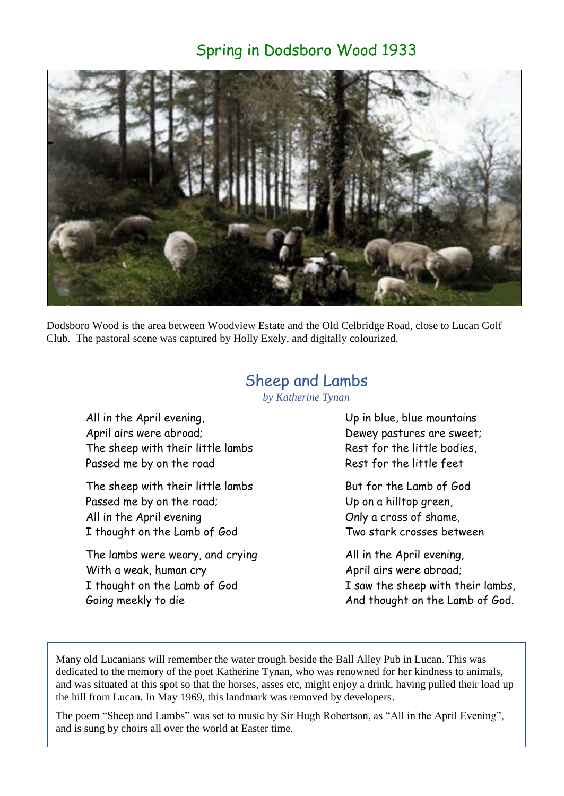### Spring in Dodsboro Wood 1933



Dodsboro Wood is the area between Woodview Estate and the Old Celbridge Road, close to Lucan Golf Club. The pastoral scene was captured by Holly Exely, and digitally colourized.

### Sheep and Lambs

*by Katherine Tynan*

All in the April evening, April airs were abroad; The sheep with their little lambs Passed me by on the road

The sheep with their little lambs Passed me by on the road; All in the April evening I thought on the Lamb of God

The lambs were weary, and crying With a weak, human cry I thought on the Lamb of God Going meekly to die

Up in blue, blue mountains Dewey pastures are sweet; Rest for the little bodies, Rest for the little feet

But for the Lamb of God Up on a hilltop green, Only a cross of shame, Two stark crosses between

All in the April evening, April airs were abroad; I saw the sheep with their lambs, And thought on the Lamb of God.

Many old Lucanians will remember the water trough beside the Ball Alley Pub in Lucan. This was dedicated to the memory of the poet Katherine Tynan, who was renowned for her kindness to animals, and was situated at this spot so that the horses, asses etc, might enjoy a drink, having pulled their load up the hill from Lucan. In May 1969, this landmark was removed by developers.

The poem "Sheep and Lambs" was set to music by Sir Hugh Robertson, as "All in the April Evening", and is sung by choirs all over the world at Easter time.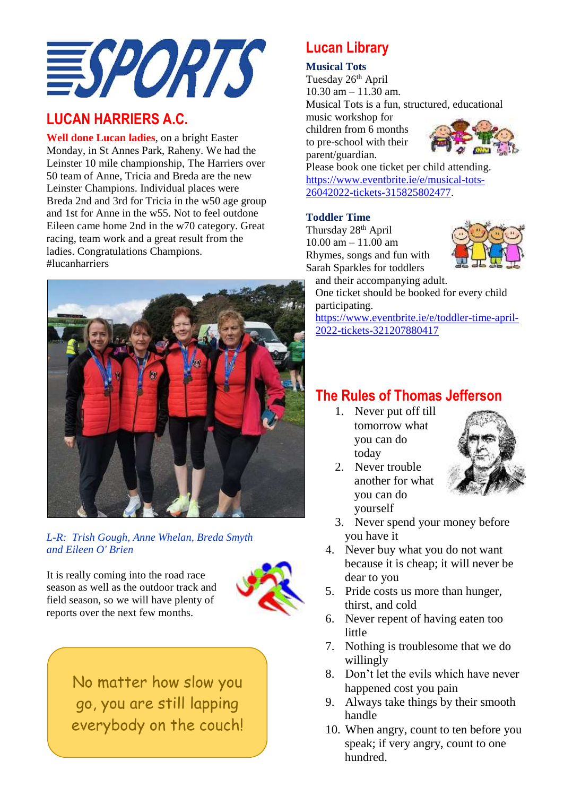

### **LUCAN HARRIERS A.C.**

**Well done Lucan ladies**, on a bright Easter Monday, in St Annes Park, Raheny. We had the Leinster 10 mile championship, The Harriers over 50 team of Anne, Tricia and Breda are the new Leinster Champions. Individual places were Breda 2nd and 3rd for Tricia in the w50 age group and 1st for Anne in the w55. Not to feel outdone Eileen came home 2nd in the w70 category. Great racing, team work and a great result from the ladies. Congratulations Champions. #lucanharriers



*L-R: Trish Gough, Anne Whelan, Breda Smyth and Eileen O' Brien*

It is really coming into the road race season as well as the outdoor track and field season, so we will have plenty of reports over the next few months.



No matter how slow you go, you are still lapping everybody on the couch!

### **Lucan Library**

### **Musical Tots**

Tuesday 26<sup>th</sup> April 10.30 am – 11.30 am. Musical Tots is a fun, structured, educational music workshop for children from 6 months to pre-school with their parent/guardian.



Please book one ticket per child attending. [https://www.eventbrite.ie/e/musical-tots-](https://www.eventbrite.ie/e/musical-tots-26042022-tickets-315825802477)[26042022-tickets-315825802477.](https://www.eventbrite.ie/e/musical-tots-26042022-tickets-315825802477)

### **Toddler Time**

Thursday 28<sup>th</sup> April 10.00 am – 11.00 am Rhymes, songs and fun with Sarah Sparkles for toddlers



and their accompanying adult. One ticket should be booked for every child participating.

[https://www.eventbrite.ie/e/toddler-time-april-](https://www.eventbrite.ie/e/toddler-time-april-2022-tickets-321207880417)[2022-tickets-321207880417](https://www.eventbrite.ie/e/toddler-time-april-2022-tickets-321207880417)

### **The Rules of Thomas Jefferson**

1. Never put off till tomorrow what you can do today



- 2. Never trouble another for what you can do yourself
- 3. Never spend your money before you have it
- 4. Never buy what you do not want because it is cheap; it will never be dear to you
- 5. Pride costs us more than hunger, thirst, and cold
- 6. Never repent of having eaten too little
- 7. Nothing is troublesome that we do willingly
- 8. Don't let the evils which have never happened cost you pain
- 9. Always take things by their smooth handle
- 10. When angry, count to ten before you speak; if very angry, count to one hundred.